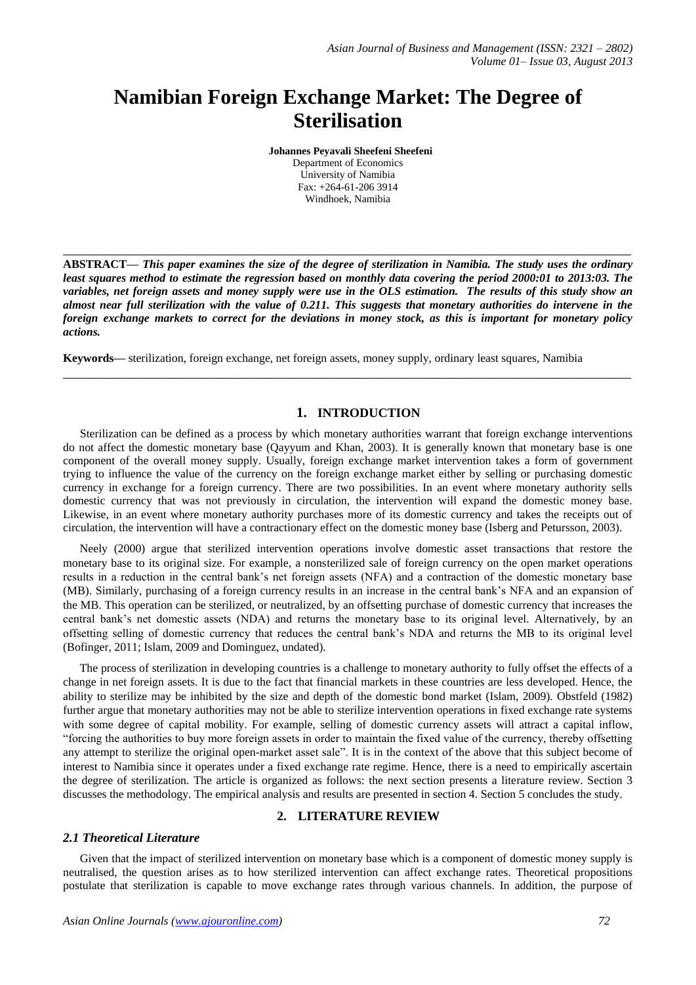# **Namibian Foreign Exchange Market: The Degree of Sterilisation**

**Johannes Peyavali Sheefeni Sheefeni**

Department of Economics University of Namibia Fax: +264-61-206 3914 Windhoek, Namibia

**ABSTRACT—** *This paper examines the size of the degree of sterilization in Namibia. The study uses the ordinary least squares method to estimate the regression based on monthly data covering the period 2000:01 to 2013:03. The variables, net foreign assets and money supply were use in the OLS estimation. The results of this study show an almost near full sterilization with the value of 0.211. This suggests that monetary authorities do intervene in the foreign exchange markets to correct for the deviations in money stock, as this is important for monetary policy actions.* 

**\_\_\_\_\_\_\_\_\_\_\_\_\_\_\_\_\_\_\_\_\_\_\_\_\_\_\_\_\_\_\_\_\_\_\_\_\_\_\_\_\_\_\_\_\_\_\_\_\_\_\_\_\_\_\_\_\_\_\_\_\_\_\_\_\_\_\_\_\_\_\_\_\_\_\_\_\_\_\_\_\_**

**\_\_\_\_\_\_\_\_\_\_\_\_\_\_\_\_\_\_\_\_\_\_\_\_\_\_\_\_\_\_\_\_\_\_\_\_\_\_\_\_\_\_\_\_\_\_\_\_\_\_\_\_\_\_\_\_\_\_\_\_\_\_\_\_\_\_\_\_\_\_\_\_\_\_\_\_\_\_\_\_\_**

**Keywords—** sterilization, foreign exchange, net foreign assets, money supply, ordinary least squares, Namibia

# **1. INTRODUCTION**

Sterilization can be defined as a process by which monetary authorities warrant that foreign exchange interventions do not affect the domestic monetary base (Qayyum and Khan, 2003). It is generally known that monetary base is one component of the overall money supply. Usually, foreign exchange market intervention takes a form of government trying to influence the value of the currency on the foreign exchange market either by selling or purchasing domestic currency in exchange for a foreign currency. There are two possibilities. In an event where monetary authority sells domestic currency that was not previously in circulation, the intervention will expand the domestic money base. Likewise, in an event where monetary authority purchases more of its domestic currency and takes the receipts out of circulation, the intervention will have a contractionary effect on the domestic money base (Isberg and Petursson, 2003).

Neely (2000) argue that sterilized intervention operations involve domestic asset transactions that restore the monetary base to its original size. For example, a nonsterilized sale of foreign currency on the open market operations results in a reduction in the central bank's net foreign assets (NFA) and a contraction of the domestic monetary base (MB). Similarly, purchasing of a foreign currency results in an increase in the central bank's NFA and an expansion of the MB. This operation can be sterilized, or neutralized, by an offsetting purchase of domestic currency that increases the central bank's net domestic assets (NDA) and returns the monetary base to its original level. Alternatively, by an offsetting selling of domestic currency that reduces the central bank's NDA and returns the MB to its original level (Bofinger, 2011; Islam, 2009 and Dominguez, undated).

The process of sterilization in developing countries is a challenge to monetary authority to fully offset the effects of a change in net foreign assets. It is due to the fact that financial markets in these countries are less developed. Hence, the ability to sterilize may be inhibited by the size and depth of the domestic bond market (Islam, 2009). Obstfeld (1982) further argue that monetary authorities may not be able to sterilize intervention operations in fixed exchange rate systems with some degree of capital mobility. For example, selling of domestic currency assets will attract a capital inflow, "forcing the authorities to buy more foreign assets in order to maintain the fixed value of the currency, thereby offsetting any attempt to sterilize the original open-market asset sale". It is in the context of the above that this subject become of interest to Namibia since it operates under a fixed exchange rate regime. Hence, there is a need to empirically ascertain the degree of sterilization. The article is organized as follows: the next section presents a literature review. Section 3 discusses the methodology. The empirical analysis and results are presented in section 4. Section 5 concludes the study.

# **2. LITERATURE REVIEW**

## *2.1 Theoretical Literature*

Given that the impact of sterilized intervention on monetary base which is a component of domestic money supply is neutralised, the question arises as to how sterilized intervention can affect exchange rates. Theoretical propositions postulate that sterilization is capable to move exchange rates through various channels. In addition, the purpose of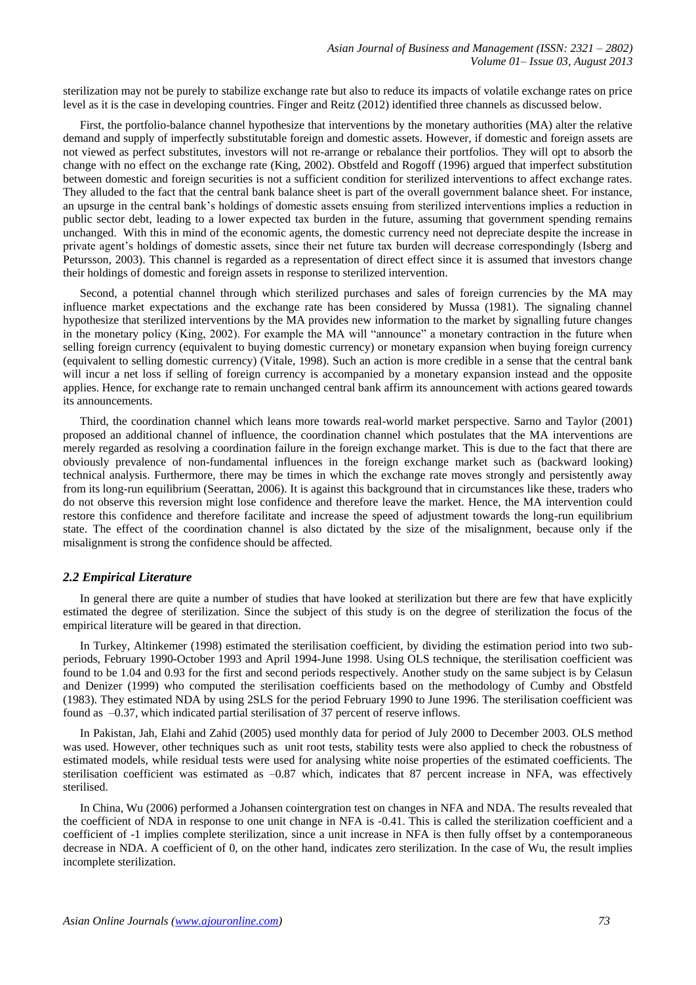sterilization may not be purely to stabilize exchange rate but also to reduce its impacts of volatile exchange rates on price level as it is the case in developing countries. Finger and Reitz (2012) identified three channels as discussed below.

First, the portfolio-balance channel hypothesize that interventions by the monetary authorities (MA) alter the relative demand and supply of imperfectly substitutable foreign and domestic assets. However, if domestic and foreign assets are not viewed as perfect substitutes, investors will not re-arrange or rebalance their portfolios. They will opt to absorb the change with no effect on the exchange rate (King, 2002). Obstfeld and Rogoff (1996) argued that imperfect substitution between domestic and foreign securities is not a sufficient condition for sterilized interventions to affect exchange rates. They alluded to the fact that the central bank balance sheet is part of the overall government balance sheet. For instance, an upsurge in the central bank's holdings of domestic assets ensuing from sterilized interventions implies a reduction in public sector debt, leading to a lower expected tax burden in the future, assuming that government spending remains unchanged. With this in mind of the economic agents, the domestic currency need not depreciate despite the increase in private agent's holdings of domestic assets, since their net future tax burden will decrease correspondingly (Isberg and Petursson, 2003). This channel is regarded as a representation of direct effect since it is assumed that investors change their holdings of domestic and foreign assets in response to sterilized intervention.

Second, a potential channel through which sterilized purchases and sales of foreign currencies by the MA may influence market expectations and the exchange rate has been considered by Mussa (1981). The signaling channel hypothesize that sterilized interventions by the MA provides new information to the market by signalling future changes in the monetary policy (King, 2002). For example the MA will "announce" a monetary contraction in the future when selling foreign currency (equivalent to buying domestic currency) or monetary expansion when buying foreign currency (equivalent to selling domestic currency) (Vitale, 1998). Such an action is more credible in a sense that the central bank will incur a net loss if selling of foreign currency is accompanied by a monetary expansion instead and the opposite applies. Hence, for exchange rate to remain unchanged central bank affirm its announcement with actions geared towards its announcements.

Third, the coordination channel which leans more towards real-world market perspective. Sarno and Taylor (2001) proposed an additional channel of influence, the coordination channel which postulates that the MA interventions are merely regarded as resolving a coordination failure in the foreign exchange market. This is due to the fact that there are obviously prevalence of non-fundamental influences in the foreign exchange market such as (backward looking) technical analysis. Furthermore, there may be times in which the exchange rate moves strongly and persistently away from its long-run equilibrium (Seerattan, 2006). It is against this background that in circumstances like these, traders who do not observe this reversion might lose confidence and therefore leave the market. Hence, the MA intervention could restore this confidence and therefore facilitate and increase the speed of adjustment towards the long-run equilibrium state. The effect of the coordination channel is also dictated by the size of the misalignment, because only if the misalignment is strong the confidence should be affected.

#### *2.2 Empirical Literature*

In general there are quite a number of studies that have looked at sterilization but there are few that have explicitly estimated the degree of sterilization. Since the subject of this study is on the degree of sterilization the focus of the empirical literature will be geared in that direction.

In Turkey, Altinkemer (1998) estimated the sterilisation coefficient, by dividing the estimation period into two subperiods, February 1990-October 1993 and April 1994-June 1998. Using OLS technique, the sterilisation coefficient was found to be 1.04 and 0.93 for the first and second periods respectively. Another study on the same subject is by Celasun and Denizer (1999) who computed the sterilisation coefficients based on the methodology of Cumby and Obstfeld (1983). They estimated NDA by using 2SLS for the period February 1990 to June 1996. The sterilisation coefficient was found as –0.37, which indicated partial sterilisation of 37 percent of reserve inflows.

In Pakistan, Jah, Elahi and Zahid (2005) used monthly data for period of July 2000 to December 2003. OLS method was used. However, other techniques such as unit root tests, stability tests were also applied to check the robustness of estimated models, while residual tests were used for analysing white noise properties of the estimated coefficients. The sterilisation coefficient was estimated as  $-0.87$  which, indicates that 87 percent increase in NFA, was effectively sterilised.

In China, Wu (2006) performed a Johansen cointergration test on changes in NFA and NDA. The results revealed that the coefficient of NDA in response to one unit change in NFA is -0.41. This is called the sterilization coefficient and a coefficient of -1 implies complete sterilization, since a unit increase in NFA is then fully offset by a contemporaneous decrease in NDA. A coefficient of 0, on the other hand, indicates zero sterilization. In the case of Wu, the result implies incomplete sterilization.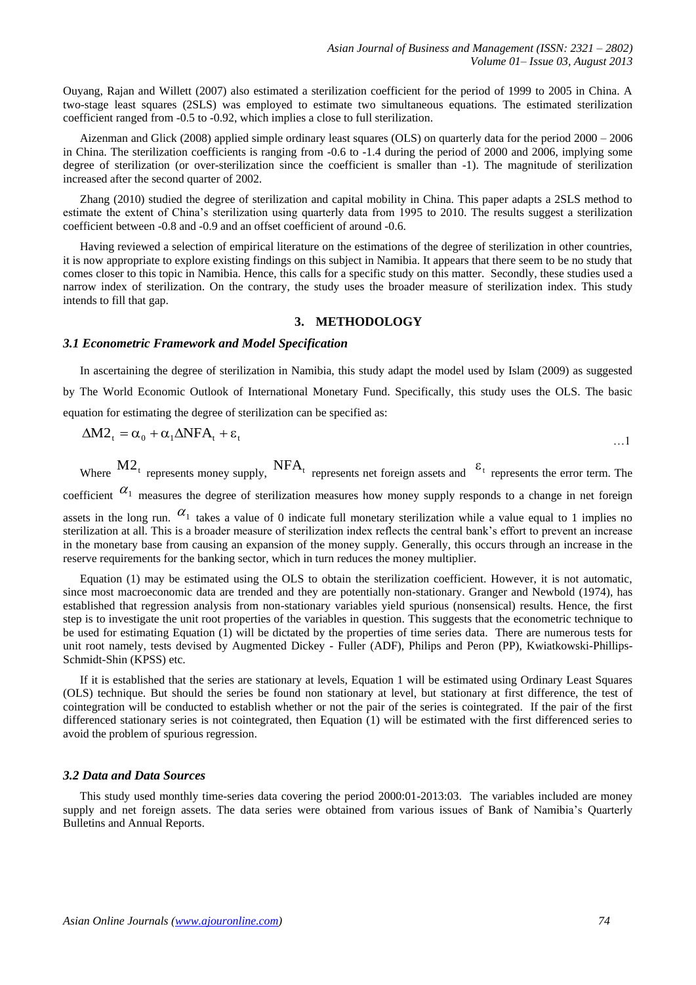Ouyang, Rajan and Willett (2007) also estimated a sterilization coefficient for the period of 1999 to 2005 in China. A two-stage least squares (2SLS) was employed to estimate two simultaneous equations. The estimated sterilization coefficient ranged from -0.5 to -0.92, which implies a close to full sterilization.

Aizenman and Glick (2008) applied simple ordinary least squares (OLS) on quarterly data for the period 2000 – 2006 in China. The sterilization coefficients is ranging from -0.6 to -1.4 during the period of 2000 and 2006, implying some degree of sterilization (or over-sterilization since the coefficient is smaller than -1). The magnitude of sterilization increased after the second quarter of 2002.

Zhang (2010) studied the degree of sterilization and capital mobility in China. This paper adapts a 2SLS method to estimate the extent of China's sterilization using quarterly data from 1995 to 2010. The results suggest a sterilization coefficient between -0.8 and -0.9 and an offset coefficient of around -0.6.

Having reviewed a selection of empirical literature on the estimations of the degree of sterilization in other countries, it is now appropriate to explore existing findings on this subject in Namibia. It appears that there seem to be no study that comes closer to this topic in Namibia. Hence, this calls for a specific study on this matter. Secondly, these studies used a narrow index of sterilization. On the contrary, the study uses the broader measure of sterilization index. This study intends to fill that gap.

### **3. METHODOLOGY**

#### *3.1 Econometric Framework and Model Specification*

In ascertaining the degree of sterilization in Namibia, this study adapt the model used by Islam (2009) as suggested by The World Economic Outlook of International Monetary Fund. Specifically, this study uses the OLS. The basic equation for estimating the degree of sterilization can be specified as:

$$
\Delta M 2_t = \alpha_0 + \alpha_1 \Delta N F A_t + \epsilon_t
$$

Where  $M2_t$  represents money supply,  $NFA_t$  represents net foreign assets and  $\epsilon_t$  represents the error term. The

coefficient  $\alpha_1$  measures the degree of sterilization measures how money supply responds to a change in net foreign

assets in the long run.  $\alpha_1$  takes a value of 0 indicate full monetary sterilization while a value equal to 1 implies no sterilization at all. This is a broader measure of sterilization index reflects the central bank's effort to prevent an increase in the monetary base from causing an expansion of the money supply. Generally, this occurs through an increase in the reserve requirements for the banking sector, which in turn reduces the money multiplier.

Equation (1) may be estimated using the OLS to obtain the sterilization coefficient. However, it is not automatic, since most macroeconomic data are trended and they are potentially non-stationary. Granger and Newbold (1974), has established that regression analysis from non-stationary variables yield spurious (nonsensical) results. Hence, the first step is to investigate the unit root properties of the variables in question. This suggests that the econometric technique to be used for estimating Equation (1) will be dictated by the properties of time series data. There are numerous tests for unit root namely, tests devised by Augmented Dickey - Fuller (ADF), Philips and Peron (PP), Kwiatkowski-Phillips-Schmidt-Shin (KPSS) etc.

If it is established that the series are stationary at levels, Equation 1 will be estimated using Ordinary Least Squares (OLS) technique. But should the series be found non stationary at level, but stationary at first difference, the test of cointegration will be conducted to establish whether or not the pair of the series is cointegrated. If the pair of the first differenced stationary series is not cointegrated, then Equation (1) will be estimated with the first differenced series to avoid the problem of spurious regression.

#### *3.2 Data and Data Sources*

This study used monthly time-series data covering the period 2000:01-2013:03. The variables included are money supply and net foreign assets. The data series were obtained from various issues of Bank of Namibia's Quarterly Bulletins and Annual Reports.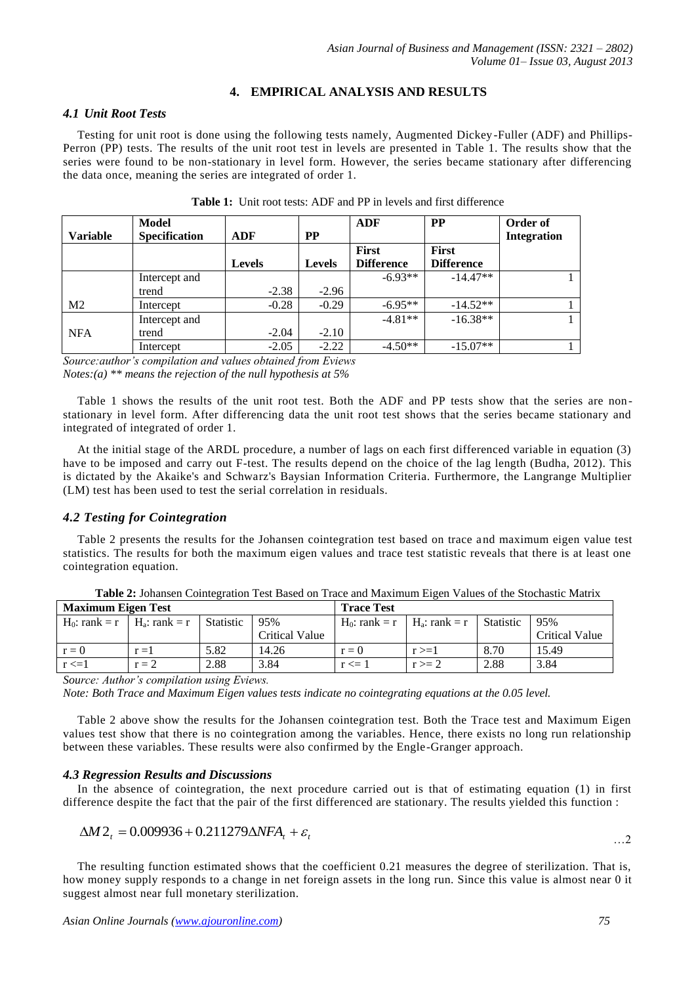## **4. EMPIRICAL ANALYSIS AND RESULTS**

## *4.1 Unit Root Tests*

Testing for unit root is done using the following tests namely, Augmented Dickey-Fuller (ADF) and Phillips-Perron (PP) tests. The results of the unit root test in levels are presented in Table 1. The results show that the series were found to be non-stationary in level form. However, the series became stationary after differencing the data once, meaning the series are integrated of order 1.

|                 | Model                |               |               | <b>ADF</b>        | <b>PP</b>         | Order of           |
|-----------------|----------------------|---------------|---------------|-------------------|-------------------|--------------------|
| <b>Variable</b> | <b>Specification</b> | ADF           | <b>PP</b>     |                   |                   | <b>Integration</b> |
|                 |                      |               |               | <b>First</b>      | <b>First</b>      |                    |
|                 |                      | <b>Levels</b> | <b>Levels</b> | <b>Difference</b> | <b>Difference</b> |                    |
|                 | Intercept and        |               |               | $-6.93**$         | $-14.47**$        |                    |
|                 | trend                | $-2.38$       | $-2.96$       |                   |                   |                    |
| M <sub>2</sub>  | Intercept            | $-0.28$       | $-0.29$       | $-6.95**$         | $-14.52**$        |                    |
|                 | Intercept and        |               |               | $-4.81**$         | $-16.38**$        |                    |
| <b>NFA</b>      | trend                | $-2.04$       | $-2.10$       |                   |                   |                    |
|                 | Intercept            | $-2.05$       | $-2.22$       | $-4.50**$         | $-15.07**$        |                    |

|  |  | <b>Table 1:</b> Unit root tests: ADF and PP in levels and first difference |
|--|--|----------------------------------------------------------------------------|
|--|--|----------------------------------------------------------------------------|

*Source:author's compilation and values obtained from Eviews Notes:(a) \*\* means the rejection of the null hypothesis at 5%* 

Table 1 shows the results of the unit root test. Both the ADF and PP tests show that the series are nonstationary in level form. After differencing data the unit root test shows that the series became stationary and integrated of integrated of order 1.

At the initial stage of the ARDL procedure, a number of lags on each first differenced variable in equation (3) have to be imposed and carry out F-test. The results depend on the choice of the lag length (Budha, 2012). This is dictated by the Akaike's and Schwarz's Baysian Information Criteria. Furthermore, the Langrange Multiplier (LM) test has been used to test the serial correlation in residuals.

# *4.2 Testing for Cointegration*

Table 2 presents the results for the Johansen cointegration test based on trace and maximum eigen value test statistics. The results for both the maximum eigen values and trace test statistic reveals that there is at least one cointegration equation.

| <b>Maximum Eigen Test</b>           |         |                  |                | <b>Trace Test</b> |                                     |           |                       |
|-------------------------------------|---------|------------------|----------------|-------------------|-------------------------------------|-----------|-----------------------|
| $H_0$ : rank = r   $H_a$ : rank = r |         | <b>Statistic</b> | 95%            |                   | $H_0$ : rank = r   $H_a$ : rank = r | Statistic | 95%                   |
|                                     |         |                  | Critical Value |                   |                                     |           | <b>Critical Value</b> |
| $r = 0$                             | $r = 1$ | 5.82             | 14.26          | $r=0$             | $r \geq 1$                          | 8.70      | 15.49                 |
| $r \leq 1$                          | $r = 2$ | 2.88             | 3.84           | $r \leq 1$        | $r \geq 2$                          | 2.88      | 3.84                  |

**Table 2:** Johansen Cointegration Test Based on Trace and Maximum Eigen Values of the Stochastic Matrix

*Source: Author's compilation using Eviews.* 

*Note: Both Trace and Maximum Eigen values tests indicate no cointegrating equations at the 0.05 level.*

Table 2 above show the results for the Johansen cointegration test. Both the Trace test and Maximum Eigen values test show that there is no cointegration among the variables. Hence, there exists no long run relationship between these variables. These results were also confirmed by the Engle-Granger approach.

# *4.3 Regression Results and Discussions*

In the absence of cointegration, the next procedure carried out is that of estimating equation (1) in first difference despite the fact that the pair of the first differenced are stationary. The results yielded this function :

$$
\Delta M 2_t = 0.009936 + 0.211279 \Delta NFA_t + \varepsilon_t
$$

The resulting function estimated shows that the coefficient 0.21 measures the degree of sterilization. That is, how money supply responds to a change in net foreign assets in the long run. Since this value is almost near 0 it suggest almost near full monetary sterilization.

…2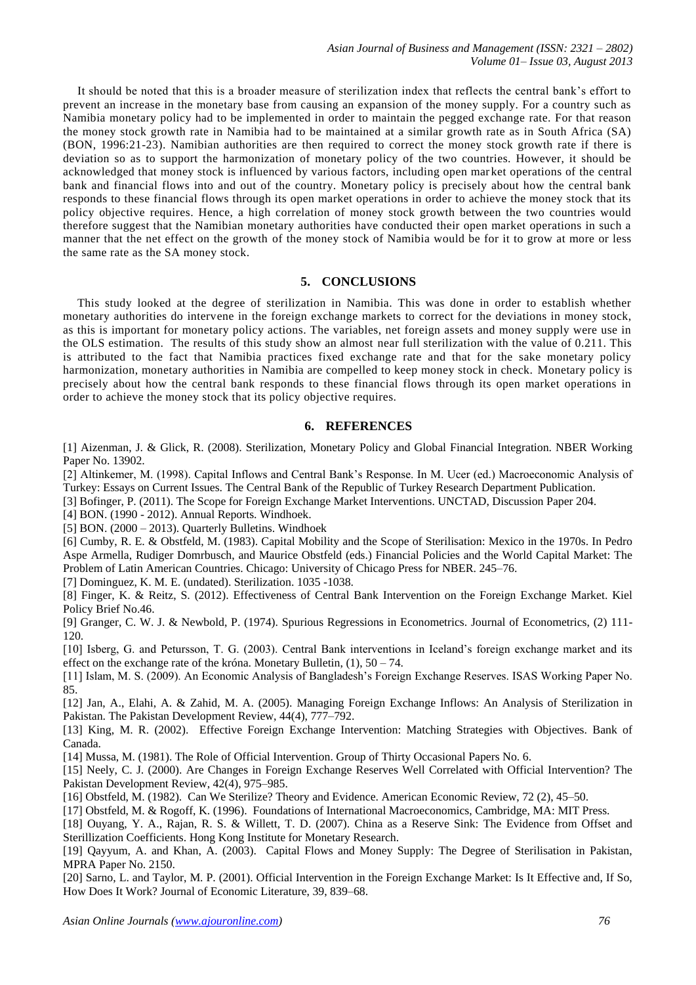It should be noted that this is a broader measure of sterilization index that reflects the central bank's effort to prevent an increase in the monetary base from causing an expansion of the money supply. For a country such as Namibia monetary policy had to be implemented in order to maintain the pegged exchange rate. For that reason the money stock growth rate in Namibia had to be maintained at a similar growth rate as in South Africa (SA) (BON, 1996:21-23). Namibian authorities are then required to correct the money stock growth rate if there is deviation so as to support the harmonization of monetary policy of the two countries. However, it should be acknowledged that money stock is influenced by various factors, including open mar ket operations of the central bank and financial flows into and out of the country. Monetary policy is precisely about how the central bank responds to these financial flows through its open market operations in order to achieve the money stock that its policy objective requires. Hence, a high correlation of money stock growth between the two countries would therefore suggest that the Namibian monetary authorities have conducted their open market operations in such a manner that the net effect on the growth of the money stock of Namibia would be for it to grow at more or less the same rate as the SA money stock.

## **5. CONCLUSIONS**

This study looked at the degree of sterilization in Namibia. This was done in order to establish whether monetary authorities do intervene in the foreign exchange markets to correct for the deviations in money stock, as this is important for monetary policy actions. The variables, net foreign assets and money supply were use in the OLS estimation. The results of this study show an almost near full sterilization with the value of 0.211. This is attributed to the fact that Namibia practices fixed exchange rate and that for the sake monetary policy harmonization, monetary authorities in Namibia are compelled to keep money stock in check. Monetary policy is precisely about how the central bank responds to these financial flows through its open market operations in order to achieve the money stock that its policy objective requires.

## **6. REFERENCES**

[1] Aizenman, J. & Glick, R. (2008). Sterilization, Monetary Policy and Global Financial Integration. NBER Working Paper No. 13902.

[2] Altinkemer, M. (1998). Capital Inflows and Central Bank's Response. In M. Ucer (ed.) Macroeconomic Analysis of Turkey: Essays on Current Issues. The Central Bank of the Republic of Turkey Research Department Publication.

[3] Bofinger, P. (2011). The Scope for Foreign Exchange Market Interventions. UNCTAD, Discussion Paper 204.

[4] BON. (1990 - 2012). Annual Reports. Windhoek.

[5] BON. (2000 – 2013). Quarterly Bulletins. Windhoek

[6] Cumby, R. E. & Obstfeld, M. (1983). Capital Mobility and the Scope of Sterilisation: Mexico in the 1970s. In Pedro Aspe Armella, Rudiger Domrbusch, and Maurice Obstfeld (eds.) Financial Policies and the World Capital Market: The Problem of Latin American Countries. Chicago: University of Chicago Press for NBER. 245–76.

[7] Dominguez, K. M. E. (undated). Sterilization. 1035 -1038.

[8] Finger, K. & Reitz, S. (2012). Effectiveness of Central Bank Intervention on the Foreign Exchange Market. Kiel Policy Brief No.46.

[9] Granger, C. W. J. & Newbold, P. (1974). Spurious Regressions in Econometrics. Journal of Econometrics, (2) 111- 120.

[10] Isberg, G. and Petursson, T. G. (2003). Central Bank interventions in Iceland's foreign exchange market and its effect on the exchange rate of the króna. Monetary Bulletin,  $(1)$ ,  $50 - 74$ .

[11] Islam, M. S. (2009). An Economic Analysis of Bangladesh's Foreign Exchange Reserves. ISAS Working Paper No. 85.

[12] Jan, A., Elahi, A. & Zahid, M. A. (2005). Managing Foreign Exchange Inflows: An Analysis of Sterilization in Pakistan. The Pakistan Development Review, 44(4), 777–792.

[13] King, M. R. (2002). Effective Foreign Exchange Intervention: Matching Strategies with Objectives. Bank of Canada.

[14] Mussa, M. (1981). The Role of Official Intervention. Group of Thirty Occasional Papers No. 6.

[15] Neely, C. J. (2000). Are Changes in Foreign Exchange Reserves Well Correlated with Official Intervention? The Pakistan Development Review, 42(4), 975–985.

[16] Obstfeld, M. (1982). Can We Sterilize? Theory and Evidence. American Economic Review, 72 (2), 45–50.

[17] Obstfeld, M. & Rogoff, K. (1996). Foundations of International Macroeconomics, Cambridge, MA: MIT Press.

[18] Ouyang, Y. A., Rajan, R. S. & Willett, T. D. (2007). China as a Reserve Sink: The Evidence from Offset and Sterillization Coefficients. Hong Kong Institute for Monetary Research.

[19] Qayyum, A. and Khan, A. (2003). Capital Flows and Money Supply: The Degree of Sterilisation in Pakistan, MPRA Paper No. 2150.

[20] Sarno, L. and Taylor, M. P. (2001). Official Intervention in the Foreign Exchange Market: Is It Effective and, If So, How Does It Work? Journal of Economic Literature, 39, 839–68.